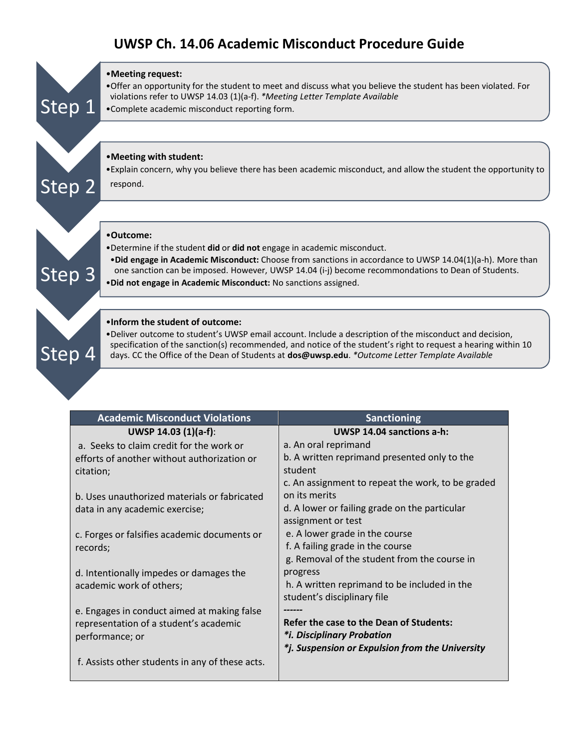## **UWSP Ch. 14.06 Academic Misconduct Procedure Guide**



| <b>Academic Misconduct Violations</b>           | <b>Sanctioning</b>                                                            |
|-------------------------------------------------|-------------------------------------------------------------------------------|
| UWSP 14.03 $(1)(a-f)$ :                         | <b>UWSP 14.04 sanctions a-h:</b>                                              |
| a. Seeks to claim credit for the work or        | a. An oral reprimand                                                          |
| efforts of another without authorization or     | b. A written reprimand presented only to the                                  |
| citation;                                       | student                                                                       |
|                                                 | c. An assignment to repeat the work, to be graded                             |
| b. Uses unauthorized materials or fabricated    | on its merits                                                                 |
| data in any academic exercise;                  | d. A lower or failing grade on the particular                                 |
|                                                 | assignment or test                                                            |
| c. Forges or falsifies academic documents or    | e. A lower grade in the course                                                |
| records;                                        | f. A failing grade in the course                                              |
|                                                 | g. Removal of the student from the course in                                  |
| d. Intentionally impedes or damages the         | progress                                                                      |
| academic work of others;                        | h. A written reprimand to be included in the                                  |
|                                                 | student's disciplinary file                                                   |
| e. Engages in conduct aimed at making false     |                                                                               |
| representation of a student's academic          | <b>Refer the case to the Dean of Students:</b>                                |
| performance; or                                 | *i. Disciplinary Probation<br>*j. Suspension or Expulsion from the University |
|                                                 |                                                                               |
| f. Assists other students in any of these acts. |                                                                               |
|                                                 |                                                                               |